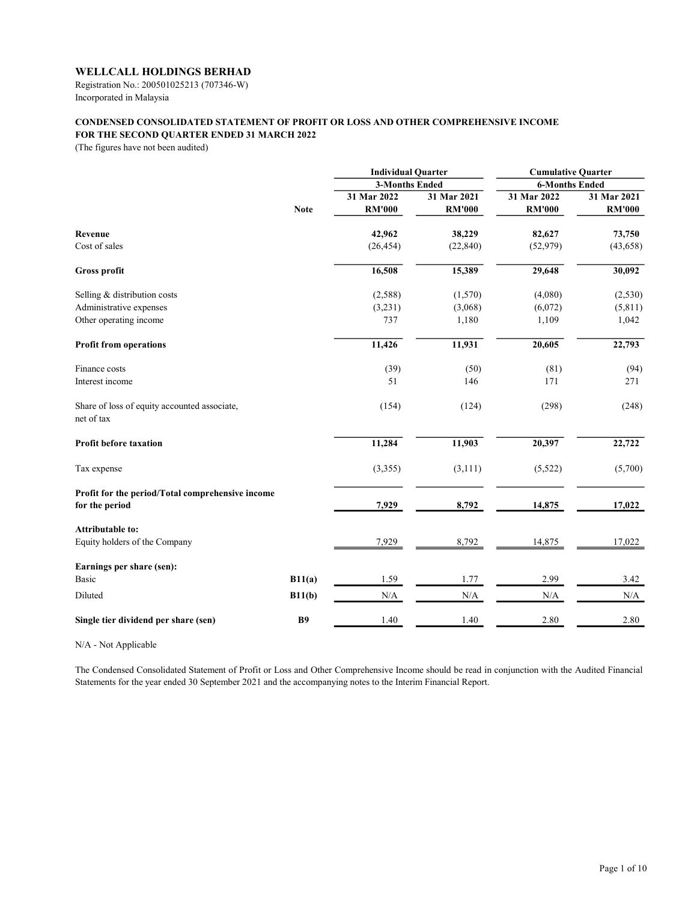Registration No.: 200501025213 (707346-W) Incorporated in Malaysia

# CONDENSED CONSOLIDATED STATEMENT OF PROFIT OR LOSS AND OTHER COMPREHENSIVE INCOME FOR THE SECOND QUARTER ENDED 31 MARCH 2022

(The figures have not been audited)

|                                                            |             | <b>Individual Quarter</b> |               | <b>Cumulative Quarter</b> |               |
|------------------------------------------------------------|-------------|---------------------------|---------------|---------------------------|---------------|
|                                                            |             | <b>3-Months Ended</b>     |               | <b>6-Months Ended</b>     |               |
|                                                            |             | 31 Mar 2022               | 31 Mar 2021   | 31 Mar 2022               | 31 Mar 2021   |
|                                                            | <b>Note</b> | <b>RM'000</b>             | <b>RM'000</b> | <b>RM'000</b>             | <b>RM'000</b> |
| Revenue                                                    |             | 42,962                    | 38,229        | 82,627                    | 73,750        |
| Cost of sales                                              |             | (26, 454)                 | (22, 840)     | (52, 979)                 | (43, 658)     |
| <b>Gross profit</b>                                        |             | 16,508                    | 15,389        | 29,648                    | 30,092        |
| Selling & distribution costs                               |             | (2,588)                   | (1,570)       | (4,080)                   | (2,530)       |
| Administrative expenses                                    |             | (3,231)                   | (3,068)       | (6,072)                   | (5,811)       |
| Other operating income                                     |             | 737                       | 1,180         | 1,109                     | 1,042         |
| <b>Profit from operations</b>                              |             | 11,426                    | 11,931        | 20,605                    | 22,793        |
| Finance costs                                              |             | (39)                      | (50)          | (81)                      | (94)          |
| Interest income                                            |             | 51                        | 146           | 171                       | 271           |
| Share of loss of equity accounted associate,<br>net of tax |             | (154)                     | (124)         | (298)                     | (248)         |
| <b>Profit before taxation</b>                              |             | 11,284                    | 11,903        | 20,397                    | 22,722        |
| Tax expense                                                |             | (3,355)                   | (3, 111)      | (5,522)                   | (5,700)       |
| Profit for the period/Total comprehensive income           |             |                           |               |                           |               |
| for the period                                             |             | 7,929                     | 8,792         | 14,875                    | 17,022        |
| <b>Attributable to:</b>                                    |             |                           |               |                           |               |
| Equity holders of the Company                              |             | 7,929                     | 8,792         | 14,875                    | 17,022        |
| Earnings per share (sen):                                  |             |                           |               |                           |               |
| <b>Basic</b>                                               | B11(a)      | 1.59                      | 1.77          | 2.99                      | 3.42          |
| Diluted                                                    | B11(b)      | N/A                       | N/A           | $\rm N/A$                 | N/A           |
| Single tier dividend per share (sen)                       | <b>B9</b>   | 1.40                      | 1.40          | 2.80                      | 2.80          |

N/A - Not Applicable

The Condensed Consolidated Statement of Profit or Loss and Other Comprehensive Income should be read in conjunction with the Audited Financial Statements for the year ended 30 September 2021 and the accompanying notes to the Interim Financial Report.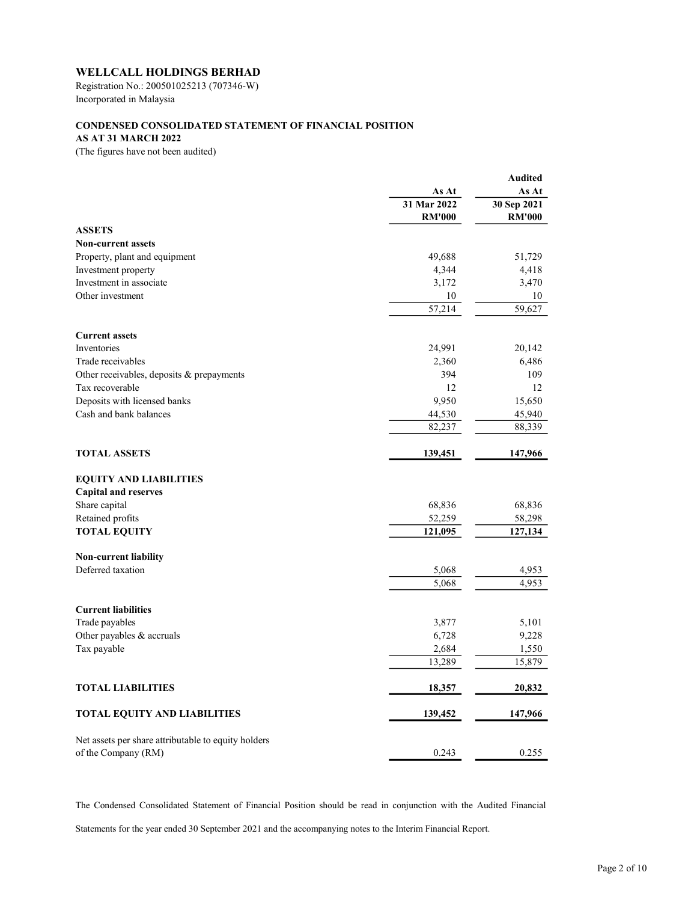Registration No.: 200501025213 (707346-W) Incorporated in Malaysia

# CONDENSED CONSOLIDATED STATEMENT OF FINANCIAL POSITION

# AS AT 31 MARCH 2022

(The figures have not been audited)

|                                                     |                | <b>Audited</b> |
|-----------------------------------------------------|----------------|----------------|
|                                                     | As At          | As At          |
|                                                     | 31 Mar 2022    | 30 Sep 2021    |
|                                                     | <b>RM'000</b>  | <b>RM'000</b>  |
| <b>ASSETS</b>                                       |                |                |
| <b>Non-current assets</b>                           |                |                |
| Property, plant and equipment                       | 49,688         | 51,729         |
| Investment property                                 | 4,344          | 4,418          |
| Investment in associate                             | 3,172          | 3,470          |
| Other investment                                    | 10             | 10             |
|                                                     | 57,214         | 59,627         |
|                                                     |                |                |
| <b>Current assets</b>                               |                |                |
| Inventories                                         | 24,991         | 20,142         |
| Trade receivables                                   | 2,360          | 6,486          |
| Other receivables, deposits & prepayments           | 394            | 109            |
| Tax recoverable                                     | 12             | 12             |
| Deposits with licensed banks                        | 9,950          | 15,650         |
| Cash and bank balances                              | 44,530         | 45,940         |
|                                                     | 82,237         | 88,339         |
|                                                     |                |                |
| <b>TOTAL ASSETS</b>                                 | 139,451        | 147,966        |
| <b>EQUITY AND LIABILITIES</b>                       |                |                |
| <b>Capital and reserves</b>                         |                |                |
| Share capital                                       | 68,836         | 68,836         |
| Retained profits                                    | 52,259         | 58,298         |
| <b>TOTAL EQUITY</b>                                 | 121,095        | 127,134        |
| Non-current liability                               |                |                |
| Deferred taxation                                   | 5,068          | 4,953          |
|                                                     | 5,068          | 4,953          |
| <b>Current liabilities</b>                          |                |                |
| Trade payables                                      |                |                |
|                                                     | 3,877<br>6,728 | 5,101<br>9,228 |
| Other payables & accruals                           |                |                |
| Tax payable                                         | 2,684          | 1,550          |
|                                                     | 13,289         | 15,879         |
| <b>TOTAL LIABILITIES</b>                            | 18,357         | 20,832         |
| TOTAL EQUITY AND LIABILITIES                        | 139,452        | 147,966        |
|                                                     |                |                |
| Net assets per share attributable to equity holders |                |                |
| of the Company (RM)                                 | 0.243          | 0.255          |

The Condensed Consolidated Statement of Financial Position should be read in conjunction with the Audited Financial

Statements for the year ended 30 September 2021 and the accompanying notes to the Interim Financial Report.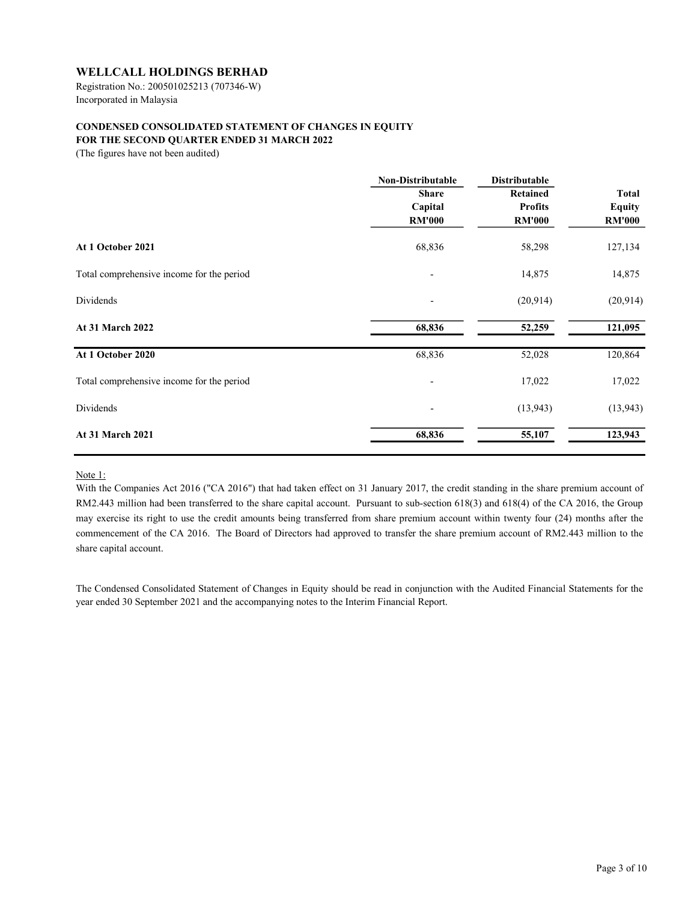Registration No.: 200501025213 (707346-W) Incorporated in Malaysia

# CONDENSED CONSOLIDATED STATEMENT OF CHANGES IN EQUITY FOR THE SECOND QUARTER ENDED 31 MARCH 2022

(The figures have not been audited)

|                                                                             | <b>Non-Distributable</b> | <b>Distributable</b> |                     |  |
|-----------------------------------------------------------------------------|--------------------------|----------------------|---------------------|--|
|                                                                             | <b>Share</b>             | <b>Retained</b>      | <b>Total</b>        |  |
| At 1 October 2021<br>Total comprehensive income for the period<br>Dividends | Capital                  | <b>Profits</b>       | <b>Equity</b>       |  |
|                                                                             | <b>RM'000</b>            | <b>RM'000</b>        | <b>RM'000</b>       |  |
|                                                                             | 68,836                   | 58,298               | 127,134             |  |
|                                                                             | $\overline{\phantom{a}}$ | 14,875               | 14,875<br>(20, 914) |  |
|                                                                             |                          | (20, 914)            |                     |  |
| <b>At 31 March 2022</b>                                                     | 68,836                   | 52,259               | 121,095             |  |
| At 1 October 2020                                                           | 68,836                   | 52,028               | 120,864             |  |
| Total comprehensive income for the period                                   | $\overline{\phantom{a}}$ | 17,022               | 17,022              |  |
| Dividends                                                                   | $\overline{\phantom{0}}$ | (13, 943)            | (13, 943)           |  |
| At 31 March 2021                                                            | 68,836                   | 55,107               | 123,943             |  |
|                                                                             |                          |                      |                     |  |

Note 1:

With the Companies Act 2016 ("CA 2016") that had taken effect on 31 January 2017, the credit standing in the share premium account of RM2.443 million had been transferred to the share capital account. Pursuant to sub-section 618(3) and 618(4) of the CA 2016, the Group may exercise its right to use the credit amounts being transferred from share premium account within twenty four (24) months after the commencement of the CA 2016. The Board of Directors had approved to transfer the share premium account of RM2.443 million to the share capital account.

The Condensed Consolidated Statement of Changes in Equity should be read in conjunction with the Audited Financial Statements for the year ended 30 September 2021 and the accompanying notes to the Interim Financial Report.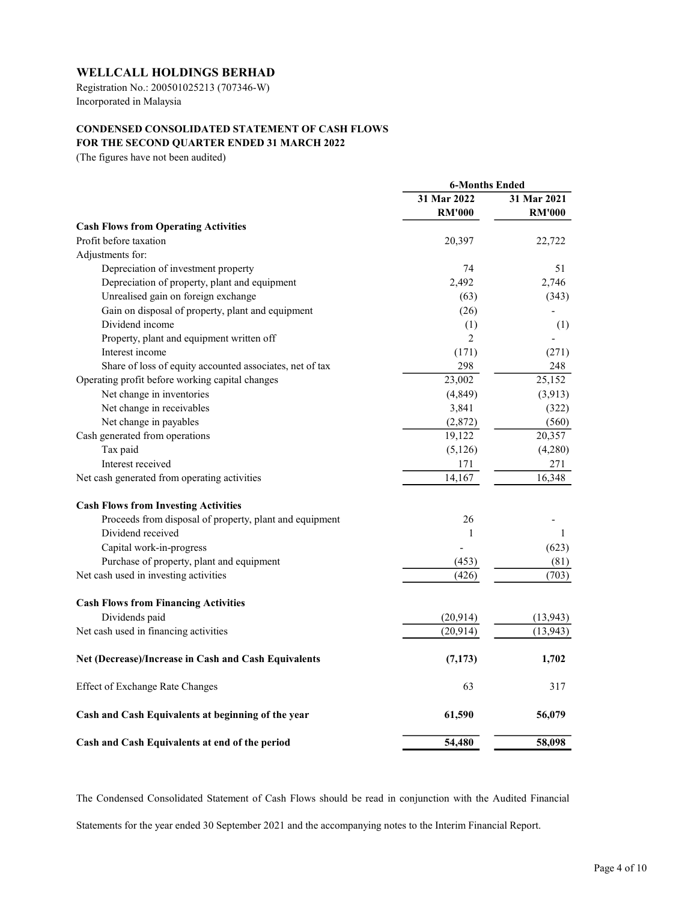Registration No.: 200501025213 (707346-W) Incorporated in Malaysia

# CONDENSED CONSOLIDATED STATEMENT OF CASH FLOWS FOR THE SECOND QUARTER ENDED 31 MARCH 2022

(The figures have not been audited)

|                                                          | <b>6-Months Ended</b> |               |  |
|----------------------------------------------------------|-----------------------|---------------|--|
|                                                          | 31 Mar 2022           | 31 Mar 2021   |  |
|                                                          | <b>RM'000</b>         | <b>RM'000</b> |  |
| <b>Cash Flows from Operating Activities</b>              |                       |               |  |
| Profit before taxation                                   | 20,397                | 22,722        |  |
| Adjustments for:                                         |                       |               |  |
| Depreciation of investment property                      | 74                    | 51            |  |
| Depreciation of property, plant and equipment            | 2,492                 | 2,746         |  |
| Unrealised gain on foreign exchange                      | (63)                  | (343)         |  |
| Gain on disposal of property, plant and equipment        | (26)                  |               |  |
| Dividend income                                          | (1)                   | (1)           |  |
| Property, plant and equipment written off                | $\overline{2}$        |               |  |
| Interest income                                          | (171)                 | (271)         |  |
| Share of loss of equity accounted associates, net of tax | 298                   | 248           |  |
| Operating profit before working capital changes          | 23,002                | 25,152        |  |
| Net change in inventories                                | (4, 849)              | (3,913)       |  |
| Net change in receivables                                | 3,841                 | (322)         |  |
| Net change in payables                                   | (2,872)               | (560)         |  |
| Cash generated from operations                           | 19,122                | 20,357        |  |
| Tax paid                                                 | (5,126)               | (4,280)       |  |
| Interest received                                        | 171                   | 271           |  |
| Net cash generated from operating activities             | 14,167                | 16,348        |  |
| <b>Cash Flows from Investing Activities</b>              |                       |               |  |
| Proceeds from disposal of property, plant and equipment  | 26                    |               |  |
| Dividend received                                        | $\mathbf{1}$          | 1             |  |
| Capital work-in-progress                                 |                       | (623)         |  |
| Purchase of property, plant and equipment                | (453)                 | (81)          |  |
| Net cash used in investing activities                    | (426)                 | (703)         |  |
| <b>Cash Flows from Financing Activities</b>              |                       |               |  |
| Dividends paid                                           | (20, 914)             | (13, 943)     |  |
| Net cash used in financing activities                    | (20, 914)             | (13, 943)     |  |
| Net (Decrease)/Increase in Cash and Cash Equivalents     | (7, 173)              | 1,702         |  |
| <b>Effect of Exchange Rate Changes</b>                   | 63                    | 317           |  |
| Cash and Cash Equivalents at beginning of the year       | 61,590                | 56,079        |  |
| Cash and Cash Equivalents at end of the period           | 54,480                | 58,098        |  |

The Condensed Consolidated Statement of Cash Flows should be read in conjunction with the Audited Financial Statements for the year ended 30 September 2021 and the accompanying notes to the Interim Financial Report.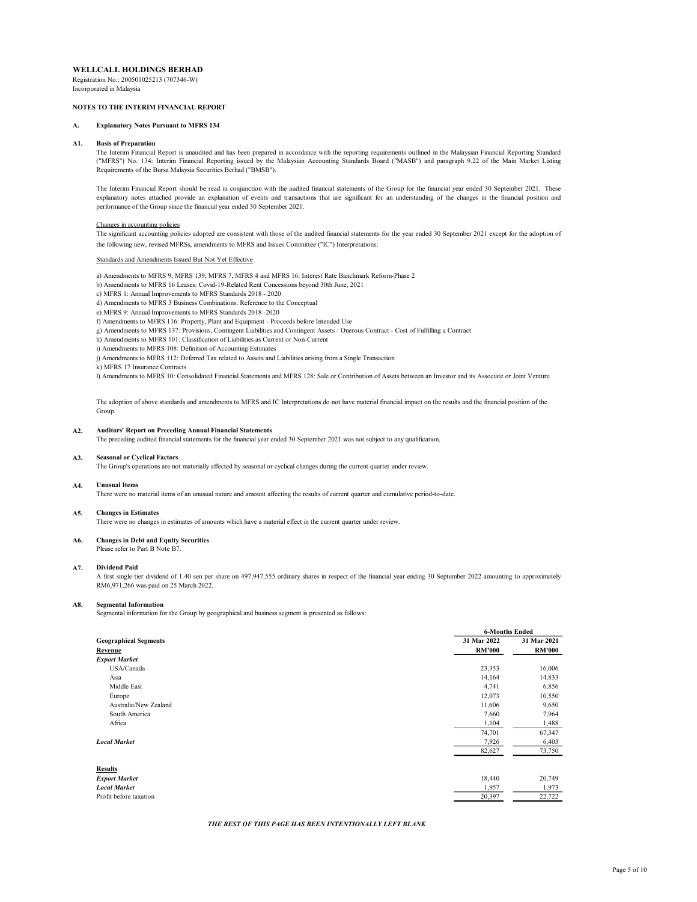Registration No.: 200501025213 (707346-W) Incorporated in Malaysia

## NOTES TO THE INTERIM FINANCIAL REPORT

### A. Explanatory Notes Pursuant to MFRS 134

#### A1. Basis of Preparation

The Interim Financial Report is unaudited and has been prepared in accordance with the reporting requirements outlined in the Malaysian Financial Reporting Standard ("MFRS") No. 134: Interim Financial Reporting issued by the Malaysian Accounting Standards Board ("MASB") and paragraph 9.22 of the Main Market Listing Requirements of the Bursa Malaysia Securities Berhad ("BMSB").

The Interim Financial Report should be read in conjunction with the audited financial statements of the Group for the financial year ended 30 September 2021. These explanatory notes attached provide an explanation of events and transactions that are significant for an understanding of the changes in the financial position and performance of the Group since the financial year ended 30 September 2021.

### Changes in accounting policies

The significant accounting policies adopted are consistent with those of the audited financial statements for the year ended 30 September 2021 except for the adoption of the following new, revised MFRSs, amendments to MFRS and Issues Committee ("IC") Interpretations:

#### Standards and Amendments Issued But Not Yet Effective

a) Amendments to MFRS 9, MFRS 139, MFRS 7, MFRS 4 and MFRS 16: Interest Rate Banchmark Reform-Phase 2

- b) Amendments to MFRS 16 Leases: Covid-19-Related Rent Concessions beyond 30th June, 2021
- c) MFRS 1: Annual Improvements to MFRS Standards 2018 2020
- d) Amendments to MFRS 3 Business Combinations: Reference to the Conceptual
- e) MFRS 9: Annual Improvements to MFRS Standards 2018 -2020
- f) Amendments to MFRS 116: Property, Plant and Equipment Proceeds before Intended Use
- g) Amendments to MFRS 137: Provisions, Contingent Liabilities and Contingent Assets Onerous Contract Cost of Fulfilling a Contract
- h) Amendments to MFRS 101: Classification of Liabilities as Current or Non-Current
- i) Amendments to MFRS 108: Definition of Accounting Estimates
- j) Amendments to MFRS 112: Deferred Tax related to Assets and Liabilities arising from a Single Transaction
- k) MFRS 17 Insurance Contracts

l) Amendments to MFRS 10: Consolidated Financial Statements and MFRS 128: Sale or Contribution of Assets between an Investor and its Associate or Joint Venture

The adoption of above standards and amendments to MFRS and IC Interpretations do not have material financial impact on the results and the financial position of the Group.

#### $A2$ . Auditors' Report on Preceding Annual Financial Statements

The preceding audited financial statements for the financial year ended 30 September 2021 was not subject to any qualification.

#### A3. Seasonal or Cyclical Factors

The Group's operations are not materially affected by seasonal or cyclical changes during the current quarter under review.

#### A4. Unusual Items

There were no material items of an unusual nature and amount affecting the results of current quarter and cumulative period-to-date.

#### A5. Changes in Estimates

There were no changes in estimates of amounts which have a material effect in the current quarter under review.

#### A6. Changes in Debt and Equity Securities

Please refer to Part B Note B7.

#### A7. Dividend Paid

A first single tier dividend of 1.40 sen per share on 497,947,555 ordinary shares in respect of the financial year ending 30 September 2022 amounting to approximately RM6,971,266 was paid on 25 March 2022.

#### A8. Segmental Information

Segmental information for the Group by geographical and business segment is presented as follows:

|                              | <b>6-Months Ended</b> |               |
|------------------------------|-----------------------|---------------|
| <b>Geographical Segments</b> | 31 Mar 2022           | 31 Mar 2021   |
| Revenue                      | <b>RM'000</b>         | <b>RM'000</b> |
| <b>Export Market</b>         |                       |               |
| USA/Canada                   | 23,353                | 16,006        |
| Asia                         | 14,164                | 14,833        |
| Middle East                  | 4,741                 | 6,856         |
| Europe                       | 12,073                | 10,550        |
| Australia/New Zealand        | 11,606                | 9,650         |
| South America                | 7,660                 | 7,964         |
| Africa                       | 1,104                 | 1,488         |
|                              | 74,701                | 67,347        |
| <b>Local Market</b>          | 7,926                 | 6,403         |
|                              | 82,627                | 73,750        |
| <b>Results</b>               |                       |               |
| <b>Export Market</b>         | 18,440                | 20,749        |
| <b>Local Market</b>          | 1,957                 | 1,973         |
| Profit before taxation       | 20,397                | 22,722        |
|                              |                       |               |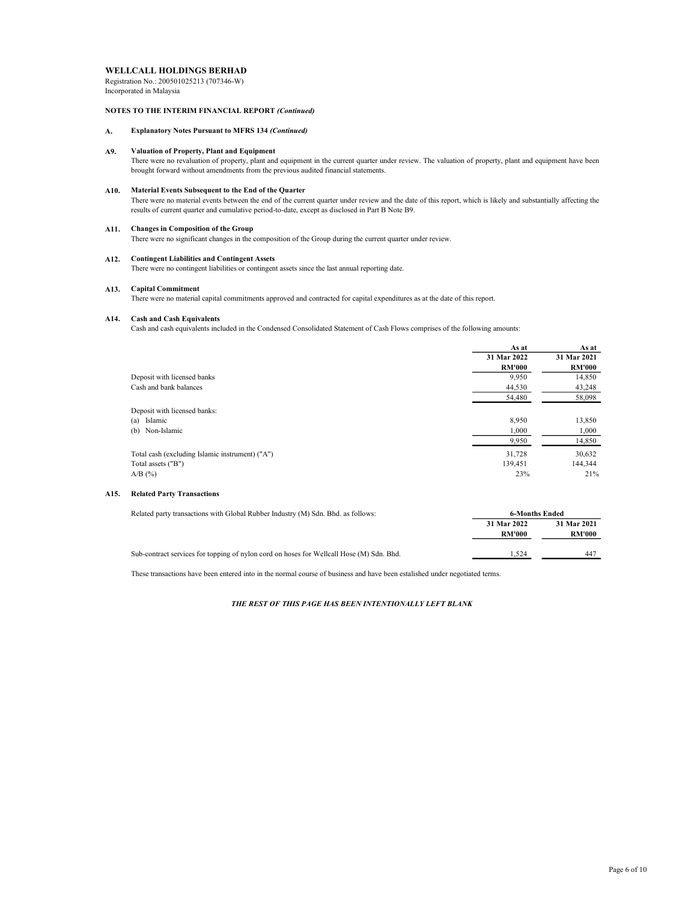Registration No.: 200501025213 (707346-W) Incorporated in Malaysia

## NOTES TO THE INTERIM FINANCIAL REPORT (Continued)

# A. Explanatory Notes Pursuant to MFRS 134 (Continued)

#### A9. Valuation of Property, Plant and Equipment

There were no revaluation of property, plant and equipment in the current quarter under review. The valuation of property, plant and equipment have been brought forward without amendments from the previous audited financial statements.

### A10. Material Events Subsequent to the End of the Quarter

There were no material events between the end of the current quarter under review and the date of this report, which is likely and substantially affecting the results of current quarter and cumulative period-to-date, except as disclosed in Part B Note B9.

### A11. Changes in Composition of the Group

There were no significant changes in the composition of the Group during the current quarter under review.

### A12. Contingent Liabilities and Contingent Assets

There were no contingent liabilities or contingent assets since the last annual reporting date.

### A13. Capital Commitment

There were no material capital commitments approved and contracted for capital expenditures as at the date of this report.

### A14. Cash and Cash Equivalents

Cash and cash equivalents included in the Condensed Consolidated Statement of Cash Flows comprises of the following amounts:

|                                                 | As at         | As at         |
|-------------------------------------------------|---------------|---------------|
|                                                 | 31 Mar 2022   | 31 Mar 2021   |
|                                                 | <b>RM'000</b> | <b>RM'000</b> |
| Deposit with licensed banks                     | 9,950         | 14,850        |
| Cash and bank balances                          | 44,530        | 43,248        |
|                                                 | 54,480        | 58,098        |
| Deposit with licensed banks:                    |               |               |
| (a) Islamic                                     | 8,950         | 13,850        |
| (b) Non-Islamic                                 | 1,000         | 1,000         |
|                                                 | 9,950         | 14,850        |
| Total cash (excluding Islamic instrument) ("A") | 31,728        | 30,632        |
| Total assets ("B")                              | 139.451       | 144,344       |
| $A/B$ (%)                                       | 23%           | 21%           |

### A15. Related Party Transactions

| Related party transactions with Global Rubber Industry (M) Sdn. Bhd. as follows:         | 6-Months Ended               |                              |
|------------------------------------------------------------------------------------------|------------------------------|------------------------------|
|                                                                                          | 31 Mar 2022<br><b>RM'000</b> | 31 Mar 2021<br><b>RM'000</b> |
| Sub-contract services for topping of nylon cord on hoses for Wellcall Hose (M) Sdn. Bhd. | .524                         | 44 <sup>7</sup>              |

These transactions have been entered into in the normal course of business and have been estalished under negotiated terms.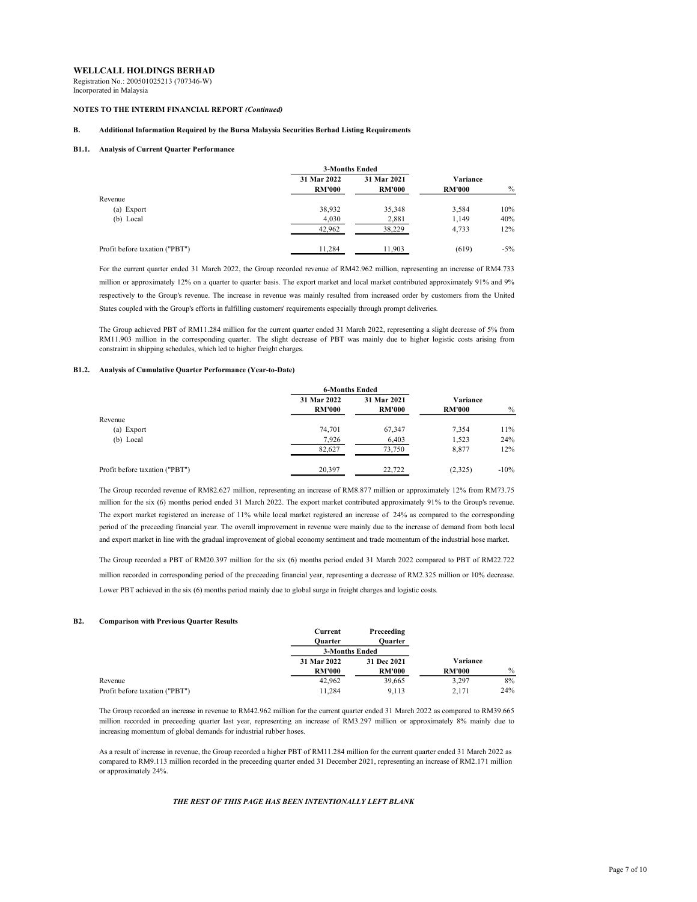Registration No.: 200501025213 (707346-W) Incorporated in Malaysia

### NOTES TO THE INTERIM FINANCIAL REPORT (Continued)

## B. Additional Information Required by the Bursa Malaysia Securities Berhad Listing Requirements

#### B1.1. Analysis of Current Quarter Performance

|                                |               | 3-Months Ended |               |        |
|--------------------------------|---------------|----------------|---------------|--------|
|                                | 31 Mar 2022   | 31 Mar 2021    | Variance      |        |
|                                | <b>RM'000</b> | <b>RM'000</b>  | <b>RM'000</b> | $\%$   |
| Revenue                        |               |                |               |        |
| (a) Export                     | 38,932        | 35,348         | 3,584         | 10%    |
| (b) Local                      | 4,030         | 2,881          | 1,149         | 40%    |
|                                | 42,962        | 38.229         | 4.733         | 12%    |
| Profit before taxation ("PBT") | 11,284        | 11,903         | (619)         | $-5\%$ |

For the current quarter ended 31 March 2022, the Group recorded revenue of RM42.962 million, representing an increase of RM4.733 million or approximately 12% on a quarter to quarter basis. The export market and local market contributed approximately 91% and 9% respectively to the Group's revenue. The increase in revenue was mainly resulted from increased order by customers from the United States coupled with the Group's efforts in fulfilling customers' requirements especially through prompt deliveries.

The Group achieved PBT of RM11.284 million for the current quarter ended 31 March 2022, representing a slight decrease of 5% from RM11.903 million in the corresponding quarter. The slight decrease of PBT was mainly due to higher logistic costs arising from constraint in shipping schedules, which led to higher freight charges.

#### B1.2. Analysis of Cumulative Quarter Performance (Year-to-Date)

|                                |               | <b>6-Months Ended</b> |               |         |
|--------------------------------|---------------|-----------------------|---------------|---------|
|                                | 31 Mar 2022   | 31 Mar 2021           | Variance      |         |
|                                | <b>RM'000</b> | <b>RM'000</b>         | <b>RM'000</b> | $\%$    |
| Revenue                        |               |                       |               |         |
| (a) Export                     | 74,701        | 67,347                | 7,354         | 11%     |
| (b) Local                      | 7,926         | 6,403                 | 1,523         | 24%     |
|                                | 82,627        | 73,750                | 8,877         | 12%     |
| Profit before taxation ("PBT") | 20,397        | 22,722                | (2,325)       | $-10\%$ |

The Group recorded revenue of RM82.627 million, representing an increase of RM8.877 million or approximately 12% from RM73.75 million for the six (6) months period ended 31 March 2022. The export market contributed approximately 91% to the Group's revenue. The export market registered an increase of 11% while local market registered an increase of 24% as compared to the corresponding period of the preceeding financial year. The overall improvement in revenue were mainly due to the increase of demand from both local and export market in line with the gradual improvement of global economy sentiment and trade momentum of the industrial hose market.

The Group recorded a PBT of RM20.397 million for the six (6) months period ended 31 March 2022 compared to PBT of RM22.722 million recorded in corresponding period of the preceeding financial year, representing a decrease of RM2.325 million or 10% decrease. Lower PBT achieved in the six (6) months period mainly due to global surge in freight charges and logistic costs.

#### B2. Comparison with Previous Quarter Results

|                                | Current        | Preceeding    |               |               |
|--------------------------------|----------------|---------------|---------------|---------------|
|                                | Ouarter        | Ouarter       |               |               |
|                                | 3-Months Ended |               |               |               |
|                                | 31 Mar 2022    | 31 Dec 2021   | Variance      |               |
|                                | <b>RM'000</b>  | <b>RM'000</b> | <b>RM'000</b> | $\frac{0}{0}$ |
| Revenue                        | 42.962         | 39,665        | 3.297         | 8%            |
| Profit before taxation ("PBT") | 11.284         | 9.113         | 2.171         | 24%           |

The Group recorded an increase in revenue to RM42.962 million for the current quarter ended 31 March 2022 as compared to RM39.665 million recorded in preceeding quarter last year, representing an increase of RM3.297 million or approximately 8% mainly due to increasing momentum of global demands for industrial rubber hoses.

As a result of increase in revenue, the Group recorded a higher PBT of RM11.284 million for the current quarter ended 31 March 2022 as compared to RM9.113 million recorded in the preceeding quarter ended 31 December 2021, representing an increase of RM2.171 million or approximately 24%.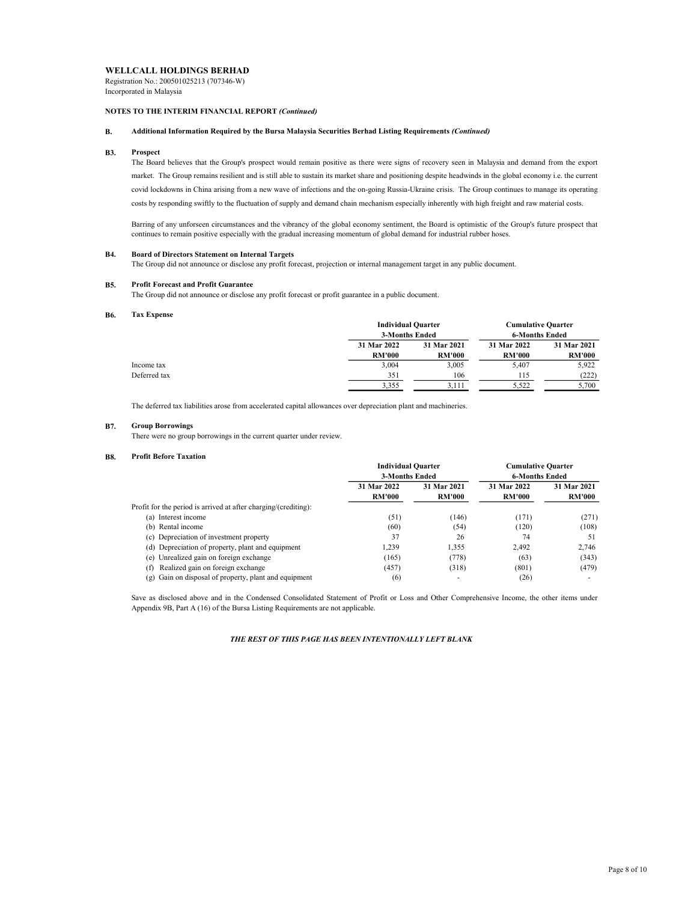Registration No.: 200501025213 (707346-W) Incorporated in Malaysia

## NOTES TO THE INTERIM FINANCIAL REPORT (Continued)

## B. Additional Information Required by the Bursa Malaysia Securities Berhad Listing Requirements (Continued)

#### B3. Prospect

The Board believes that the Group's prospect would remain positive as there were signs of recovery seen in Malaysia and demand from the export market. The Group remains resilient and is still able to sustain its market share and positioning despite headwinds in the global economy i.e. the current covid lockdowns in China arising from a new wave of infections and the on-going Russia-Ukraine crisis. The Group continues to manage its operating costs by responding swiftly to the fluctuation of supply and demand chain mechanism especially inherently with high freight and raw material costs.

Barring of any unforseen circumstances and the vibrancy of the global economy sentiment, the Board is optimistic of the Group's future prospect that continues to remain positive especially with the gradual increasing momentum of global demand for industrial rubber hoses.

#### **B4.** Board of Directors Statement on Internal Targets

The Group did not announce or disclose any profit forecast, projection or internal management target in any public document.

#### B5. Profit Forecast and Profit Guarantee

The Group did not announce or disclose any profit forecast or profit guarantee in a public document.

#### B6. Tax Expense

| <b>LGA LADVIST</b> |               |                                             |               |                           |  |
|--------------------|---------------|---------------------------------------------|---------------|---------------------------|--|
|                    |               | <b>Individual Quarter</b><br>3-Months Ended |               | <b>Cumulative Quarter</b> |  |
|                    |               |                                             |               | <b>6-Months Ended</b>     |  |
|                    | 31 Mar 2022   | 31 Mar 2021                                 | 31 Mar 2022   | 31 Mar 2021               |  |
|                    | <b>RM'000</b> | <b>RM'000</b>                               | <b>RM'000</b> | <b>RM'000</b>             |  |
| Income tax         | 3.004         | 3.005                                       | 5.407         | 5.922                     |  |
| Deferred tax       | 351           | 106                                         | 115           | (222)                     |  |
|                    | 3.355         | 3.111                                       | 5.522         | 5.700                     |  |

The deferred tax liabilities arose from accelerated capital allowances over depreciation plant and machineries.

#### B7. Group Borrowings

There were no group borrowings in the current quarter under review.

#### B8. Profit Before Taxation

|                                                                 | <b>Individual Quarter</b><br>3-Months Ended |               | <b>Cumulative Quarter</b><br><b>6-Months Ended</b> |               |
|-----------------------------------------------------------------|---------------------------------------------|---------------|----------------------------------------------------|---------------|
|                                                                 |                                             |               |                                                    |               |
|                                                                 | 31 Mar 2022                                 | 31 Mar 2021   | 31 Mar 2022                                        | 31 Mar 2021   |
|                                                                 | <b>RM'000</b>                               | <b>RM'000</b> | <b>RM'000</b>                                      | <b>RM'000</b> |
| Profit for the period is arrived at after charging/(crediting): |                                             |               |                                                    |               |
| (a) Interest income                                             | (51)                                        | (146)         | (171)                                              | (271)         |
| (b) Rental income                                               | (60)                                        | (54)          | (120)                                              | (108)         |
| (c) Depreciation of investment property                         | 37                                          | 26            | 74                                                 | 51            |
| (d) Depreciation of property, plant and equipment               | 1.239                                       | 1,355         | 2.492                                              | 2.746         |
| (e) Unrealized gain on foreign exchange                         | (165)                                       | (778)         | (63)                                               | (343)         |
| Realized gain on foreign exchange<br>(f)                        | (457)                                       | (318)         | (801)                                              | (479)         |
| (g) Gain on disposal of property, plant and equipment           | (6)                                         |               | (26)                                               |               |

Save as disclosed above and in the Condensed Consolidated Statement of Profit or Loss and Other Comprehensive Income, the other items under Appendix 9B, Part A (16) of the Bursa Listing Requirements are not applicable.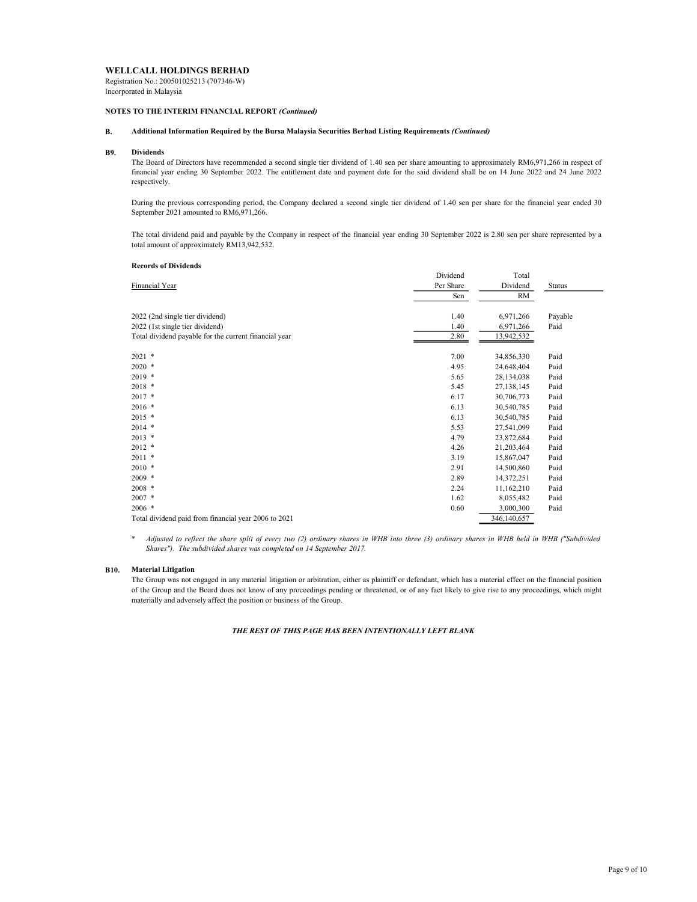Registration No.: 200501025213 (707346-W) Incorporated in Malaysia

## NOTES TO THE INTERIM FINANCIAL REPORT (Continued)

# B. Additional Information Required by the Bursa Malaysia Securities Berhad Listing Requirements (Continued)

#### B9. Dividends

The Board of Directors have recommended a second single tier dividend of 1.40 sen per share amounting to approximately RM6,971,266 in respect of financial year ending 30 September 2022. The entitlement date and payment date for the said dividend shall be on 14 June 2022 and 24 June 2022 respectively.

During the previous corresponding period, the Company declared a second single tier dividend of 1.40 sen per share for the financial year ended 30 September 2021 amounted to RM6,971,266.

The total dividend paid and payable by the Company in respect of the financial year ending 30 September 2022 is 2.80 sen per share represented by a total amount of approximately RM13,942,532.

### Records of Dividends

| Financial Year                                        | Dividend  | Total       |         |
|-------------------------------------------------------|-----------|-------------|---------|
|                                                       | Per Share | Dividend    | Status  |
|                                                       | Sen       | RM          |         |
| 2022 (2nd single tier dividend)                       | 1.40      | 6,971,266   | Payable |
| 2022 (1st single tier dividend)                       | 1.40      | 6,971,266   | Paid    |
| Total dividend payable for the current financial year | 2.80      | 13,942,532  |         |
| $2021$ *                                              | 7.00      | 34,856,330  | Paid    |
| $2020$ *                                              | 4.95      | 24,648,404  | Paid    |
| $2019$ *                                              | 5.65      | 28,134,038  | Paid    |
| $2018$ *                                              | 5.45      | 27,138,145  | Paid    |
| $2017$ *                                              | 6.17      | 30,706,773  | Paid    |
| $2016$ *                                              | 6.13      | 30,540,785  | Paid    |
| $2015$ *                                              | 6.13      | 30,540,785  | Paid    |
| $2014$ *                                              | 5.53      | 27,541,099  | Paid    |
| $2013$ *                                              | 4.79      | 23,872,684  | Paid    |
| $2012$ *                                              | 4.26      | 21,203,464  | Paid    |
| $2011$ *                                              | 3.19      | 15,867,047  | Paid    |
| $2010$ *                                              | 2.91      | 14,500,860  | Paid    |
| $2009$ *                                              | 2.89      | 14,372,251  | Paid    |
| $2008$ *                                              | 2.24      | 11,162,210  | Paid    |
| $2007$ *                                              | 1.62      | 8,055,482   | Paid    |
| $2006$ *                                              | 0.60      | 3,000,300   | Paid    |
| Total dividend paid from financial year 2006 to 2021  |           | 346,140,657 |         |

\* Adjusted to reflect the share split of every two (2) ordinary shares in WHB into three (3) ordinary shares in WHB held in WHB ("Subdivided Shares"). The subdivided shares was completed on 14 September 2017.

### B10. Material Litigation

The Group was not engaged in any material litigation or arbitration, either as plaintiff or defendant, which has a material effect on the financial position of the Group and the Board does not know of any proceedings pending or threatened, or of any fact likely to give rise to any proceedings, which might materially and adversely affect the position or business of the Group.